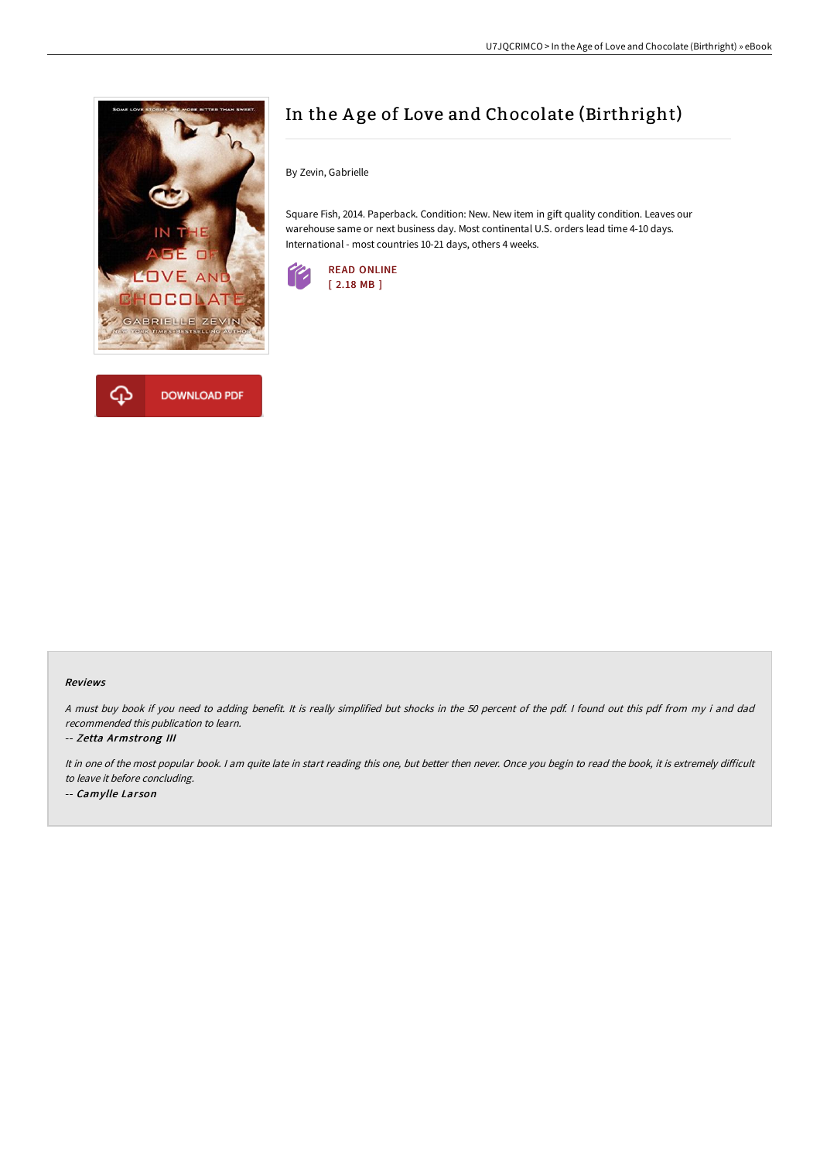



# In the A ge of Love and Chocolate (Birthright)

By Zevin, Gabrielle

Square Fish, 2014. Paperback. Condition: New. New item in gift quality condition. Leaves our warehouse same or next business day. Most continental U.S. orders lead time 4-10 days. International - most countries 10-21 days, others 4 weeks.



### Reviews

<sup>A</sup> must buy book if you need to adding benefit. It is really simplified but shocks in the <sup>50</sup> percent of the pdf. <sup>I</sup> found out this pdf from my i and dad recommended this publication to learn.

### -- Zetta Armstrong III

It in one of the most popular book. I am quite late in start reading this one, but better then never. Once you begin to read the book, it is extremely difficult to leave it before concluding.

-- Camylle Larson